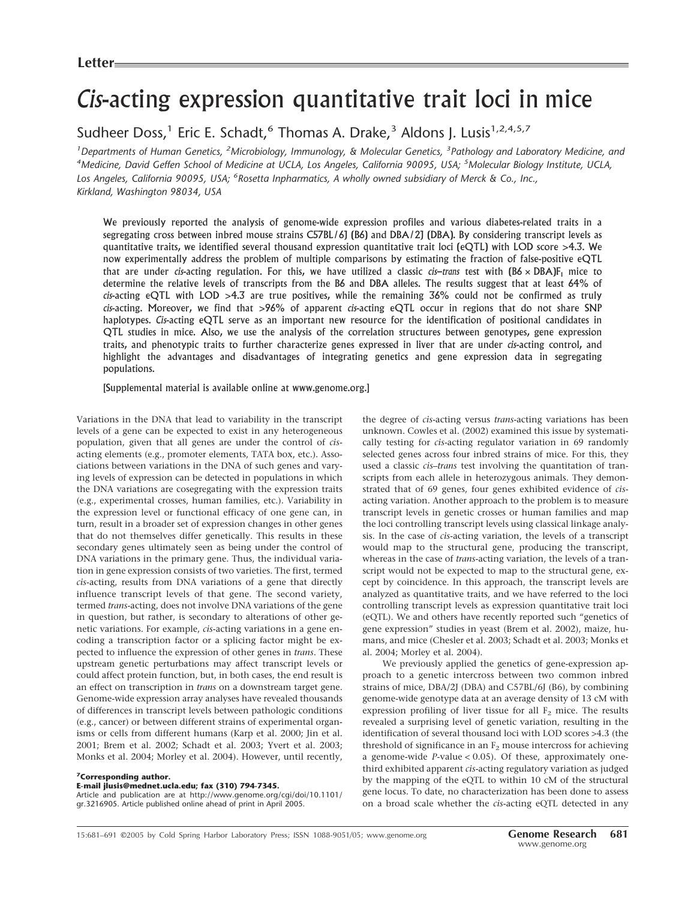# *Cis*-acting expression quantitative trait loci in mice

Sudheer Doss,<sup>1</sup> Eric E. Schadt,<sup>6</sup> Thomas A. Drake,<sup>3</sup> Aldons J. Lusis<sup>1,2,4,5,7</sup>

<sup>1</sup> Departments of Human Genetics, <sup>2</sup>Microbiology, Immunology, & Molecular Genetics, <sup>3</sup> Pathology and Laboratory Medicine, and *4 Medicine, David Geffen School of Medicine at UCLA, Los Angeles, California 90095, USA; <sup>5</sup> Molecular Biology Institute, UCLA, Los Angeles, California 90095, USA; <sup>6</sup> Rosetta Inpharmatics, A wholly owned subsidiary of Merck & Co., Inc., Kirkland, Washington 98034, USA*

We previously reported the analysis of genome-wide expression profiles and various diabetes-related traits in a segregating cross between inbred mouse strains C57BL/6J (B6) and DBA/2J (DBA). By considering transcript levels as quantitative traits, we identified several thousand expression quantitative trait loci (eQTL) with LOD score >4.3. We now experimentally address the problem of multiple comparisons by estimating the fraction of false-positive eQTL that are under *cis*-acting regulation. For this, we have utilized a classic *cis–trans* test with  $(B6 \times DBA)F_1$  mice to determine the relative levels of transcripts from the B6 and DBA alleles. The results suggest that at least 64% of *cis*-acting eQTL with LOD >4.3 are true positives, while the remaining 36% could not be confirmed as truly *cis*-acting. Moreover, we find that >96% of apparent *cis*-acting eQTL occur in regions that do not share SNP haplotypes. *Cis*-acting eQTL serve as an important new resource for the identification of positional candidates in QTL studies in mice. Also, we use the analysis of the correlation structures between genotypes, gene expression traits, and phenotypic traits to further characterize genes expressed in liver that are under *cis*-acting control, and highlight the advantages and disadvantages of integrating genetics and gene expression data in segregating populations.

[Supplemental material is available online at www.genome.org.]

Variations in the DNA that lead to variability in the transcript levels of a gene can be expected to exist in any heterogeneous population, given that all genes are under the control of *cis*acting elements (e.g., promoter elements, TATA box, etc.). Associations between variations in the DNA of such genes and varying levels of expression can be detected in populations in which the DNA variations are cosegregating with the expression traits (e.g., experimental crosses, human families, etc.). Variability in the expression level or functional efficacy of one gene can, in turn, result in a broader set of expression changes in other genes that do not themselves differ genetically. This results in these secondary genes ultimately seen as being under the control of DNA variations in the primary gene. Thus, the individual variation in gene expression consists of two varieties. The first, termed *cis*-acting, results from DNA variations of a gene that directly influence transcript levels of that gene. The second variety, termed *trans*-acting, does not involve DNA variations of the gene in question, but rather, is secondary to alterations of other genetic variations. For example, *cis*-acting variations in a gene encoding a transcription factor or a splicing factor might be expected to influence the expression of other genes in *trans*. These upstream genetic perturbations may affect transcript levels or could affect protein function, but, in both cases, the end result is an effect on transcription in *trans* on a downstream target gene. Genome-wide expression array analyses have revealed thousands of differences in transcript levels between pathologic conditions (e.g., cancer) or between different strains of experimental organisms or cells from different humans (Karp et al. 2000; Jin et al. 2001; Brem et al. 2002; Schadt et al. 2003; Yvert et al. 2003; Monks et al. 2004; Morley et al. 2004). However, until recently,

## **7Corresponding author.**

**E-mail jlusis@mednet.ucla.edu; fax (310) 794-7345.** Article and publication are at http://www.genome.org/cgi/doi/10.1101/

gr.3216905. Article published online ahead of print in April 2005.

the degree of *cis*-acting versus *trans*-acting variations has been unknown. Cowles et al. (2002) examined this issue by systematically testing for *cis*-acting regulator variation in 69 randomly selected genes across four inbred strains of mice. For this, they used a classic *cis*–*trans* test involving the quantitation of transcripts from each allele in heterozygous animals. They demonstrated that of 69 genes, four genes exhibited evidence of *cis*acting variation. Another approach to the problem is to measure transcript levels in genetic crosses or human families and map the loci controlling transcript levels using classical linkage analysis. In the case of *cis*-acting variation, the levels of a transcript would map to the structural gene, producing the transcript, whereas in the case of *trans*-acting variation, the levels of a transcript would not be expected to map to the structural gene, except by coincidence. In this approach, the transcript levels are analyzed as quantitative traits, and we have referred to the loci controlling transcript levels as expression quantitative trait loci (eQTL). We and others have recently reported such "genetics of gene expression" studies in yeast (Brem et al. 2002), maize, humans, and mice (Chesler et al. 2003; Schadt et al. 2003; Monks et al. 2004; Morley et al. 2004).

We previously applied the genetics of gene-expression approach to a genetic intercross between two common inbred strains of mice, DBA/2J (DBA) and C57BL/6J (B6), by combining genome-wide genotype data at an average density of 13 cM with expression profiling of liver tissue for all  $F<sub>2</sub>$  mice. The results revealed a surprising level of genetic variation, resulting in the identification of several thousand loci with LOD scores >4.3 (the threshold of significance in an  $F_2$  mouse intercross for achieving a genome-wide *P*-value < 0.05). Of these, approximately onethird exhibited apparent *cis*-acting regulatory variation as judged by the mapping of the eQTL to within 10 cM of the structural gene locus. To date, no characterization has been done to assess on a broad scale whether the *cis*-acting eQTL detected in any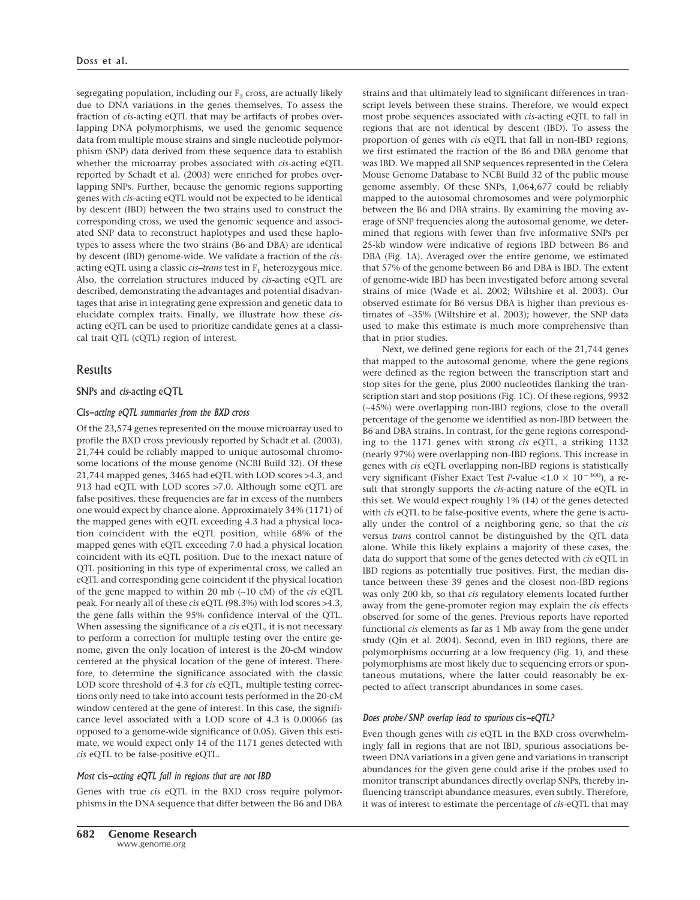segregating population, including our  $F_2$  cross, are actually likely due to DNA variations in the genes themselves. To assess the fraction of *cis*-acting eQTL that may be artifacts of probes overlapping DNA polymorphisms, we used the genomic sequence data from multiple mouse strains and single nucleotide polymorphism (SNP) data derived from these sequence data to establish whether the microarray probes associated with *cis*-acting eQTL reported by Schadt et al. (2003) were enriched for probes overlapping SNPs. Further, because the genomic regions supporting genes with *cis*-acting eQTL would not be expected to be identical by descent (IBD) between the two strains used to construct the corresponding cross, we used the genomic sequence and associated SNP data to reconstruct haplotypes and used these haplotypes to assess where the two strains (B6 and DBA) are identical by descent (IBD) genome-wide. We validate a fraction of the *cis*acting eQTL using a classic *cis–trans* test in  $F_1$  heterozygous mice. Also, the correlation structures induced by *cis*-acting eQTL are described, demonstrating the advantages and potential disadvantages that arise in integrating gene expression and genetic data to elucidate complex traits. Finally, we illustrate how these *cis*acting eQTL can be used to prioritize candidate genes at a classical trait QTL (cQTL) region of interest.

## Results

## SNPs and *cis*-acting eQTL

## Cis*-acting eQTL summaries from the BXD cross*

Of the 23,574 genes represented on the mouse microarray used to profile the BXD cross previously reported by Schadt et al. (2003), 21,744 could be reliably mapped to unique autosomal chromosome locations of the mouse genome (NCBI Build 32). Of these 21,744 mapped genes, 3465 had eQTL with LOD scores >4.3, and 913 had eQTL with LOD scores >7.0. Although some eQTL are false positives, these frequencies are far in excess of the numbers one would expect by chance alone. Approximately 34% (1171) of the mapped genes with eQTL exceeding 4.3 had a physical location coincident with the eQTL position, while 68% of the mapped genes with eQTL exceeding 7.0 had a physical location coincident with its eQTL position. Due to the inexact nature of QTL positioning in this type of experimental cross, we called an eQTL and corresponding gene coincident if the physical location of the gene mapped to within 20 mb (∼10 cM) of the *cis* eQTL peak. For nearly all of these *cis* eQTL (98.3%) with lod scores >4.3, the gene falls within the 95% confidence interval of the QTL. When assessing the significance of a *cis* eQTL, it is not necessary to perform a correction for multiple testing over the entire genome, given the only location of interest is the 20-cM window centered at the physical location of the gene of interest. Therefore, to determine the significance associated with the classic LOD score threshold of 4.3 for *cis* eQTL, multiple testing corrections only need to take into account tests performed in the 20-cM window centered at the gene of interest. In this case, the significance level associated with a LOD score of 4.3 is 0.00066 (as opposed to a genome-wide significance of 0.05). Given this estimate, we would expect only 14 of the 1171 genes detected with *cis* eQTL to be false-positive eQTL.

#### *Most* cis*-acting eQTL fall in regions that are not IBD*

Genes with true *cis* eQTL in the BXD cross require polymorphisms in the DNA sequence that differ between the B6 and DBA strains and that ultimately lead to significant differences in transcript levels between these strains. Therefore, we would expect most probe sequences associated with *cis*-acting eQTL to fall in regions that are not identical by descent (IBD). To assess the proportion of genes with *cis* eQTL that fall in non-IBD regions, we first estimated the fraction of the B6 and DBA genome that was IBD. We mapped all SNP sequences represented in the Celera Mouse Genome Database to NCBI Build 32 of the public mouse genome assembly. Of these SNPs, 1,064,677 could be reliably mapped to the autosomal chromosomes and were polymorphic between the B6 and DBA strains. By examining the moving average of SNP frequencies along the autosomal genome, we determined that regions with fewer than five informative SNPs per 25-kb window were indicative of regions IBD between B6 and DBA (Fig. 1A). Averaged over the entire genome, we estimated that 57% of the genome between B6 and DBA is IBD. The extent of genome-wide IBD has been investigated before among several strains of mice (Wade et al. 2002; Wiltshire et al. 2003). Our observed estimate for B6 versus DBA is higher than previous estimates of ∼35% (Wiltshire et al. 2003); however, the SNP data used to make this estimate is much more comprehensive than that in prior studies.

Next, we defined gene regions for each of the 21,744 genes that mapped to the autosomal genome, where the gene regions were defined as the region between the transcription start and stop sites for the gene, plus 2000 nucleotides flanking the transcription start and stop positions (Fig. 1C). Of these regions, 9932 (∼45%) were overlapping non-IBD regions, close to the overall percentage of the genome we identified as non-IBD between the B6 and DBA strains. In contrast, for the gene regions corresponding to the 1171 genes with strong *cis* eQTL, a striking 1132 (nearly 97%) were overlapping non-IBD regions. This increase in genes with *cis* eQTL overlapping non-IBD regions is statistically very significant (Fisher Exact Test *P*-value <1.0  $\times$  10<sup>-300</sup>), a result that strongly supports the *cis-*acting nature of the eQTL in this set. We would expect roughly 1% (14) of the genes detected with *cis* eQTL to be false-positive events, where the gene is actually under the control of a neighboring gene, so that the *cis* versus *trans* control cannot be distinguished by the QTL data alone. While this likely explains a majority of these cases, the data do support that some of the genes detected with *cis* eQTL in IBD regions as potentially true positives. First, the median distance between these 39 genes and the closest non-IBD regions was only 200 kb, so that *cis* regulatory elements located further away from the gene-promoter region may explain the *cis* effects observed for some of the genes. Previous reports have reported functional *cis* elements as far as 1 Mb away from the gene under study (Qin et al. 2004). Second, even in IBD regions, there are polymorphisms occurring at a low frequency (Fig. 1), and these polymorphisms are most likely due to sequencing errors or spontaneous mutations, where the latter could reasonably be expected to affect transcript abundances in some cases.

## *Does probe/SNP overlap lead to spurious* cis*-eQTL?*

Even though genes with *cis* eQTL in the BXD cross overwhelmingly fall in regions that are not IBD, spurious associations between DNA variations in a given gene and variations in transcript abundances for the given gene could arise if the probes used to monitor transcript abundances directly overlap SNPs, thereby influencing transcript abundance measures, even subtly. Therefore, it was of interest to estimate the percentage of *cis*-eQTL that may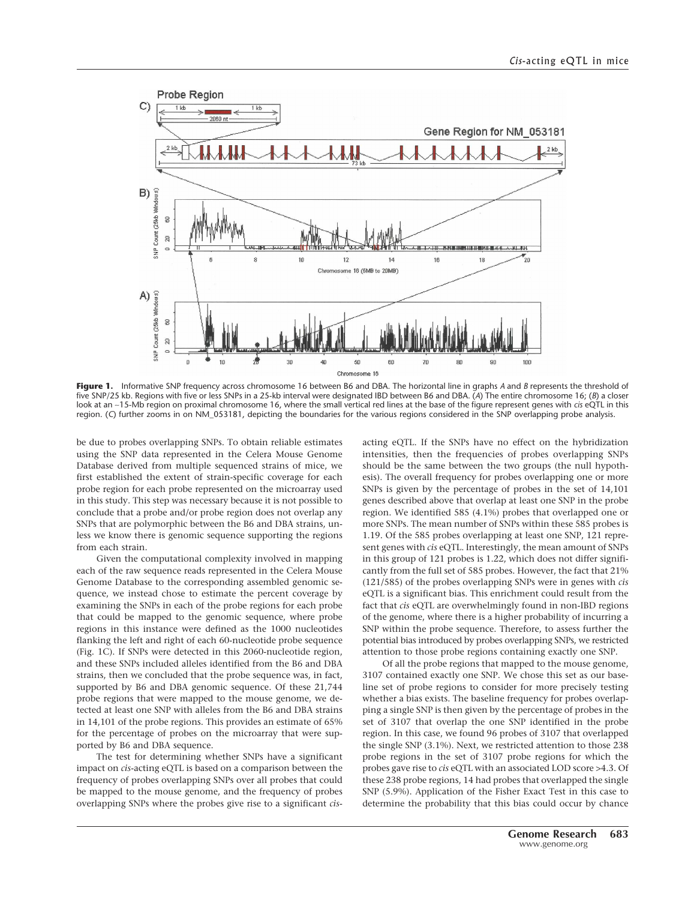

**Figure 1.** Informative SNP frequency across chromosome 16 between B6 and DBA. The horizontal line in graphs *A* and *B* represents the threshold of five SNP/25 kb. Regions with five or less SNPs in a 25-kb interval were designated IBD between B6 and DBA. (*A*) The entire chromosome 16; (*B*) a closer look at an ∼15-Mb region on proximal chromosome 16, where the small vertical red lines at the base of the figure represent genes with *cis* eQTL in this region. (*C*) further zooms in on NM\_053181, depicting the boundaries for the various regions considered in the SNP overlapping probe analysis.

be due to probes overlapping SNPs. To obtain reliable estimates using the SNP data represented in the Celera Mouse Genome Database derived from multiple sequenced strains of mice, we first established the extent of strain-specific coverage for each probe region for each probe represented on the microarray used in this study. This step was necessary because it is not possible to conclude that a probe and/or probe region does not overlap any SNPs that are polymorphic between the B6 and DBA strains, unless we know there is genomic sequence supporting the regions from each strain.

Given the computational complexity involved in mapping each of the raw sequence reads represented in the Celera Mouse Genome Database to the corresponding assembled genomic sequence, we instead chose to estimate the percent coverage by examining the SNPs in each of the probe regions for each probe that could be mapped to the genomic sequence, where probe regions in this instance were defined as the 1000 nucleotides flanking the left and right of each 60-nucleotide probe sequence (Fig. 1C). If SNPs were detected in this 2060-nucleotide region, and these SNPs included alleles identified from the B6 and DBA strains, then we concluded that the probe sequence was, in fact, supported by B6 and DBA genomic sequence. Of these 21,744 probe regions that were mapped to the mouse genome, we detected at least one SNP with alleles from the B6 and DBA strains in 14,101 of the probe regions. This provides an estimate of 65% for the percentage of probes on the microarray that were supported by B6 and DBA sequence.

The test for determining whether SNPs have a significant impact on *cis*-acting eQTL is based on a comparison between the frequency of probes overlapping SNPs over all probes that could be mapped to the mouse genome, and the frequency of probes overlapping SNPs where the probes give rise to a significant *cis*-

acting eQTL. If the SNPs have no effect on the hybridization intensities, then the frequencies of probes overlapping SNPs should be the same between the two groups (the null hypothesis). The overall frequency for probes overlapping one or more SNPs is given by the percentage of probes in the set of 14,101 genes described above that overlap at least one SNP in the probe region. We identified 585 (4.1%) probes that overlapped one or more SNPs. The mean number of SNPs within these 585 probes is 1.19. Of the 585 probes overlapping at least one SNP, 121 represent genes with *cis* eQTL. Interestingly, the mean amount of SNPs in this group of 121 probes is 1.22, which does not differ significantly from the full set of 585 probes. However, the fact that 21% (121/585) of the probes overlapping SNPs were in genes with *cis* eQTL is a significant bias. This enrichment could result from the fact that *cis* eQTL are overwhelmingly found in non-IBD regions of the genome, where there is a higher probability of incurring a SNP within the probe sequence. Therefore, to assess further the potential bias introduced by probes overlapping SNPs, we restricted attention to those probe regions containing exactly one SNP.

Of all the probe regions that mapped to the mouse genome, 3107 contained exactly one SNP. We chose this set as our baseline set of probe regions to consider for more precisely testing whether a bias exists. The baseline frequency for probes overlapping a single SNP is then given by the percentage of probes in the set of 3107 that overlap the one SNP identified in the probe region. In this case, we found 96 probes of 3107 that overlapped the single SNP (3.1%). Next, we restricted attention to those 238 probe regions in the set of 3107 probe regions for which the probes gave rise to *cis* eQTL with an associated LOD score >4.3. Of these 238 probe regions, 14 had probes that overlapped the single SNP (5.9%). Application of the Fisher Exact Test in this case to determine the probability that this bias could occur by chance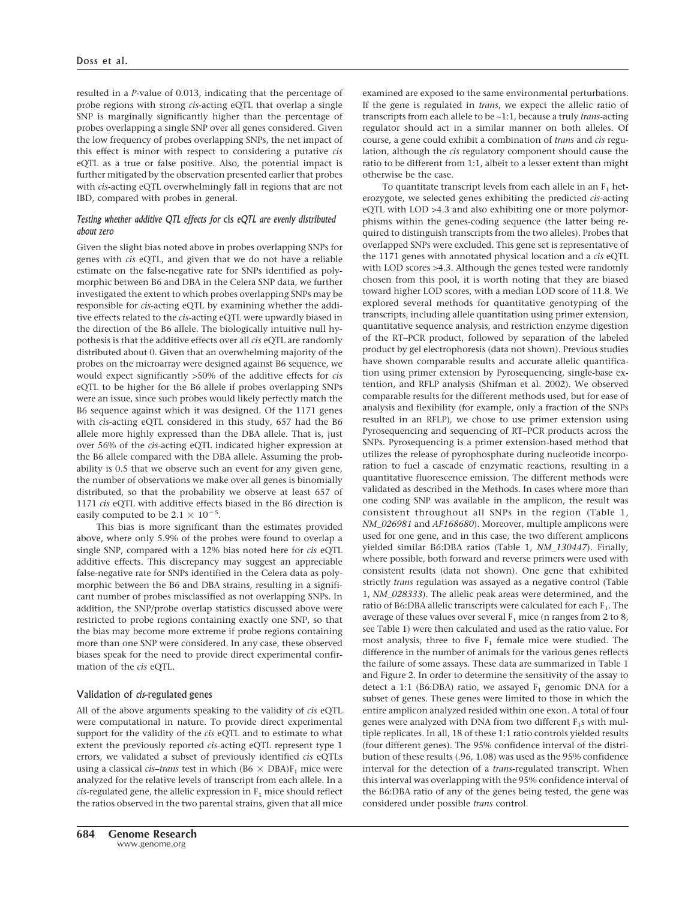resulted in a *P*-value of 0.013, indicating that the percentage of probe regions with strong *cis*-acting eQTL that overlap a single SNP is marginally significantly higher than the percentage of probes overlapping a single SNP over all genes considered. Given the low frequency of probes overlapping SNPs, the net impact of this effect is minor with respect to considering a putative *cis* eQTL as a true or false positive. Also, the potential impact is further mitigated by the observation presented earlier that probes with *cis*-acting eQTL overwhelmingly fall in regions that are not IBD, compared with probes in general.

## *Testing whether additive QTL effects for* cis *eQTL are evenly distributed about zero*

Given the slight bias noted above in probes overlapping SNPs for genes with *cis* eQTL, and given that we do not have a reliable estimate on the false-negative rate for SNPs identified as polymorphic between B6 and DBA in the Celera SNP data, we further investigated the extent to which probes overlapping SNPs may be responsible for *cis*-acting eQTL by examining whether the additive effects related to the *cis*-acting eQTL were upwardly biased in the direction of the B6 allele. The biologically intuitive null hypothesis is that the additive effects over all *cis* eQTL are randomly distributed about 0. Given that an overwhelming majority of the probes on the microarray were designed against B6 sequence, we would expect significantly >50% of the additive effects for *cis* eQTL to be higher for the B6 allele if probes overlapping SNPs were an issue, since such probes would likely perfectly match the B6 sequence against which it was designed. Of the 1171 genes with *cis*-acting eQTL considered in this study, 657 had the B6 allele more highly expressed than the DBA allele. That is, just over 56% of the *cis*-acting eQTL indicated higher expression at the B6 allele compared with the DBA allele. Assuming the probability is 0.5 that we observe such an event for any given gene, the number of observations we make over all genes is binomially distributed, so that the probability we observe at least 657 of 1171 *cis* eQTL with additive effects biased in the B6 direction is easily computed to be  $2.1 \times 10^{-5}$ .

This bias is more significant than the estimates provided above, where only 5.9% of the probes were found to overlap a single SNP, compared with a 12% bias noted here for *cis* eQTL additive effects. This discrepancy may suggest an appreciable false-negative rate for SNPs identified in the Celera data as polymorphic between the B6 and DBA strains, resulting in a significant number of probes misclassified as not overlapping SNPs. In addition, the SNP/probe overlap statistics discussed above were restricted to probe regions containing exactly one SNP, so that the bias may become more extreme if probe regions containing more than one SNP were considered. In any case, these observed biases speak for the need to provide direct experimental confirmation of the *cis* eQTL.

## Validation of *cis*-regulated genes

All of the above arguments speaking to the validity of *cis* eQTL were computational in nature. To provide direct experimental support for the validity of the *cis* eQTL and to estimate to what extent the previously reported *cis*-acting eQTL represent type 1 errors, we validated a subset of previously identified *cis* eQTLs using a classical *cis-trans* test in which ( $B6 \times DBA$ ) $F_1$  mice were analyzed for the relative levels of transcript from each allele. In a  $cis$ -regulated gene, the allelic expression in  $F_1$  mice should reflect the ratios observed in the two parental strains, given that all mice examined are exposed to the same environmental perturbations. If the gene is regulated in *trans*, we expect the allelic ratio of transcripts from each allele to be ∼1:1, because a truly *trans*-acting regulator should act in a similar manner on both alleles. Of course, a gene could exhibit a combination of *trans* and *cis* regulation, although the *cis* regulatory component should cause the ratio to be different from 1:1, albeit to a lesser extent than might otherwise be the case.

To quantitate transcript levels from each allele in an  $F_1$  heterozygote, we selected genes exhibiting the predicted *cis*-acting eQTL with LOD >4.3 and also exhibiting one or more polymorphisms within the genes-coding sequence (the latter being required to distinguish transcripts from the two alleles). Probes that overlapped SNPs were excluded. This gene set is representative of the 1171 genes with annotated physical location and a *cis* eQTL with LOD scores >4.3. Although the genes tested were randomly chosen from this pool, it is worth noting that they are biased toward higher LOD scores, with a median LOD score of 11.8. We explored several methods for quantitative genotyping of the transcripts, including allele quantitation using primer extension, quantitative sequence analysis, and restriction enzyme digestion of the RT–PCR product, followed by separation of the labeled product by gel electrophoresis (data not shown). Previous studies have shown comparable results and accurate allelic quantification using primer extension by Pyrosequencing, single-base extention, and RFLP analysis (Shifman et al. 2002). We observed comparable results for the different methods used, but for ease of analysis and flexibility (for example, only a fraction of the SNPs resulted in an RFLP), we chose to use primer extension using Pyrosequencing and sequencing of RT–PCR products across the SNPs. Pyrosequencing is a primer extension-based method that utilizes the release of pyrophosphate during nucleotide incorporation to fuel a cascade of enzymatic reactions, resulting in a quantitative fluorescence emission. The different methods were validated as described in the Methods. In cases where more than one coding SNP was available in the amplicon, the result was consistent throughout all SNPs in the region (Table 1, *NM\_026981* and *AF168680*). Moreover, multiple amplicons were used for one gene, and in this case, the two different amplicons yielded similar B6:DBA ratios (Table 1, *NM\_130447*). Finally, where possible, both forward and reverse primers were used with consistent results (data not shown). One gene that exhibited strictly *trans* regulation was assayed as a negative control (Table 1, *NM\_028333*). The allelic peak areas were determined, and the ratio of B6:DBA allelic transcripts were calculated for each  $F_1$ . The average of these values over several  $F_1$  mice (n ranges from 2 to 8, see Table 1) were then calculated and used as the ratio value. For most analysis, three to five  $F_1$  female mice were studied. The difference in the number of animals for the various genes reflects the failure of some assays. These data are summarized in Table 1 and Figure 2. In order to determine the sensitivity of the assay to detect a 1:1 (B6:DBA) ratio, we assayed  $F_1$  genomic DNA for a subset of genes. These genes were limited to those in which the entire amplicon analyzed resided within one exon. A total of four genes were analyzed with DNA from two different  $F_1$ s with multiple replicates. In all, 18 of these 1:1 ratio controls yielded results (four different genes). The 95% confidence interval of the distribution of these results (.96, 1.08) was used as the 95% confidence interval for the detection of a *trans*-regulated transcript. When this interval was overlapping with the 95% confidence interval of the B6:DBA ratio of any of the genes being tested, the gene was considered under possible *trans* control.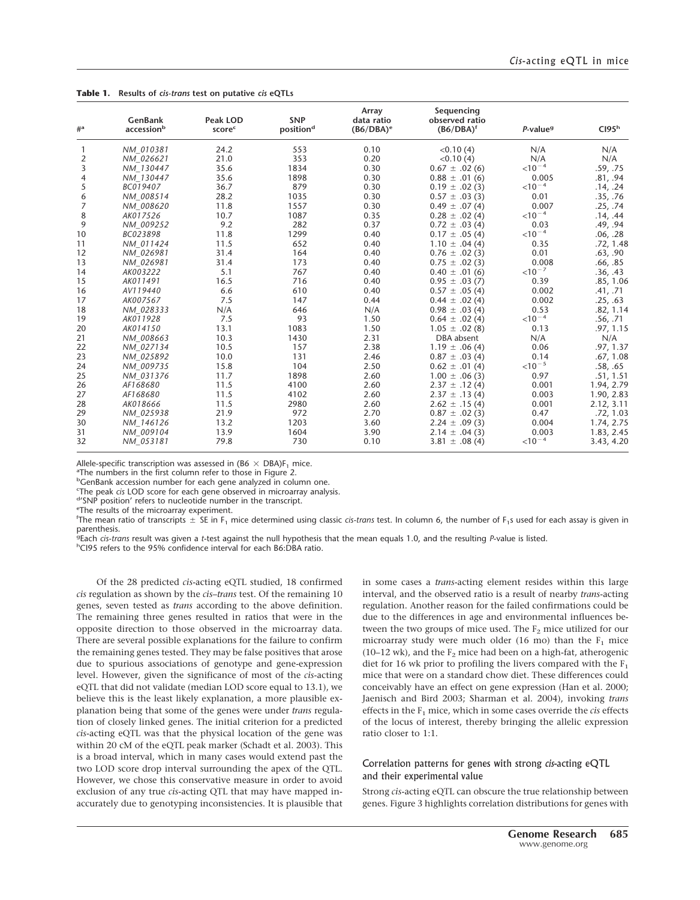**Table 1. Results of** *cis-trans* **test on putative** *cis* **eQTLs**

| $#^a$           | GenBank<br>accessionb | Peak LOD<br>scorec | <b>SNP</b><br>position <sup>d</sup> | Array<br>data ratio<br>$(B6/DBA)^e$ | Sequencing<br>observed ratio<br>$(B6/DBA)^t$ | $P$ -value <sup>9</sup> | CI95 <sup>h</sup> |
|-----------------|-----------------------|--------------------|-------------------------------------|-------------------------------------|----------------------------------------------|-------------------------|-------------------|
| 1               | NM 010381             | 24.2               | 553                                 | 0.10                                | < 0.10(4)                                    | N/A                     | N/A               |
| $\overline{2}$  | NM 026621             | 21.0               | 353                                 | 0.20                                | <0.10(4)                                     | N/A                     | N/A               |
| 3               | NM 130447             | 35.6               | 1834                                | 0.30                                | $0.67 \pm .02(6)$                            | $<10^{-4}$              | .59, .75          |
| 4               | NM 130447             | 35.6               | 1898                                | 0.30                                | $0.88 \pm .01(6)$                            | 0.005                   | .81, .94          |
| 5               | BC019407              | 36.7               | 879                                 | 0.30                                | $0.19 \pm .02(3)$                            | $<$ 10 <sup>-4</sup>    | .14, .24          |
| 6               | NM 008514             | 28.2               | 1035                                | 0.30                                | $0.57 \pm .03(3)$                            | 0.01                    | .35, .76          |
| $\overline{7}$  | NM 008620             | 11.8               | 1557                                | 0.30                                | $0.49 \pm .07(4)$                            | 0.007                   | .25, .74          |
| 8               | AK017526              | 10.7               | 1087                                | 0.35                                | $0.28 \pm .02(4)$                            | $<$ 10 <sup>-4</sup>    | .14, .44          |
| 9               | NM 009252             | 9.2                | 282                                 | 0.37                                | $0.72 \pm .03(4)$                            | 0.03                    | .49, .94          |
| 10 <sup>°</sup> | BC023898              | 11.8               | 1299                                | 0.40                                | $0.17 \pm .05(4)$                            | $<$ 10 <sup>-4</sup>    | .06, .28          |
| 11              | NM 011424             | 11.5               | 652                                 | 0.40                                | $1.10 \pm .04(4)$                            | 0.35                    | .72, 1.48         |
| 12              | NM 026981             | 31.4               | 164                                 | 0.40                                | $0.76 \pm .02(3)$                            | 0.01                    | .63, .90          |
| 13              | NM 026981             | 31.4               | 173                                 | 0.40                                | $0.75 \pm .02(3)$                            | 0.008                   | .66, .85          |
| 14              | AK003222              | 5.1                | 767                                 | 0.40                                | $0.40 \pm .01(6)$                            | $<$ 10 <sup>-7</sup>    | .36, .43          |
| 15              | AK011491              | 16.5               | 716                                 | 0.40                                | $0.95 \pm .03(7)$                            | 0.39                    | .85, 1.06         |
| 16              | AV119440              | 6.6                | 610                                 | 0.40                                | $0.57 \pm .05(4)$                            | 0.002                   | .41, .71          |
| 17              | AK007567              | 7.5                | 147                                 | 0.44                                | $0.44 \pm .02(4)$                            | 0.002                   | .25, .63          |
| 18              | NM 028333             | N/A                | 646                                 | N/A                                 | $0.98 \pm .03(4)$                            | 0.53                    | .82, 1.14         |
| 19              | AK011928              | 7.5                | 93                                  | 1.50                                | $0.64 \pm .02(4)$                            | $<$ 10 <sup>-4</sup>    | .56, .71          |
| 20              | AK014150              | 13.1               | 1083                                | 1.50                                | $1.05 \pm .02(8)$                            | 0.13                    | .97, 1.15         |
| 21              | NM 008663             | 10.3               | 1430                                | 2.31                                | DBA absent                                   | N/A                     | N/A               |
| 22              | NM 027134             | 10.5               | 157                                 | 2.38                                | $1.19 \pm .06(4)$                            | 0.06                    | .97, 1.37         |
| 23              | NM 025892             | 10.0               | 131                                 | 2.46                                | $0.87 \pm .03(4)$                            | 0.14                    | .67, 1.08         |
| 24              | NM 009735             | 15.8               | 104                                 | 2.50                                | $0.62 \pm .01(4)$                            | $<$ 10 <sup>-5</sup>    | .58, .65          |
| 25              | NM 031376             | 11.7               | 1898                                | 2.60                                | $1.00 \pm .06(3)$                            | 0.97                    | .51, 1.51         |
| 26              | AF168680              | 11.5               | 4100                                | 2.60                                | $2.37 \pm .12(4)$                            | 0.001                   | 1.94, 2.79        |
| 27              | AF168680              | 11.5               | 4102                                | 2.60                                | $2.37 \pm .13(4)$                            | 0.003                   | 1.90, 2.83        |
| 28              | AK018666              | 11.5               | 2980                                | 2.60                                | $2.62 \pm .15(4)$                            | 0.001                   | 2.12, 3.11        |
| 29              | NM 025938             | 21.9               | 972                                 | 2.70                                | $0.87 \pm .02(3)$                            | 0.47                    | .72, 1.03         |
| 30              | NM 146126             | 13.2               | 1203                                | 3.60                                | $2.24 \pm .09(3)$                            | 0.004                   | 1.74, 2.75        |
| 31              | NM 009104             | 13.9               | 1604                                | 3.90                                | $2.14 \pm .04(3)$                            | 0.003                   | 1.83, 2.45        |
| 32              | NM 053181             | 79.8               | 730                                 | 0.10                                | $3.81 \pm .08(4)$                            | $<$ 10 <sup>-4</sup>    | 3.43, 4.20        |

Allele-specific transcription was assessed in  $(B6 \times DBA)F$ , mice.

<sup>a</sup>The numbers in the first column refer to those in Figure 2.

<sup>b</sup>GenBank accession number for each gene analyzed in column one.

The peak *cis* LOD score for each gene observed in microarray analysis.<br><sup>d</sup>'SNP position' refers to pucleotide number in the transcript

'SNP position' refers to nucleotide number in the transcript.

eThe results of the microarray experiment.

 $^{\mathsf{f}}$ The mean ratio of transcripts  $\pm$  SE in F<sub>1</sub> mice determined using classic *cis-trans* test. In column 6, the number of F<sub>1</sub>s used for each assay is given in parenthesis.

<sup>g</sup>Each *cis-trans* result was given a *t*-test against the null hypothesis that the mean equals 1.0, and the resulting *P*-value is listed.<br>hCl95 refers to the 95% confidence interval for each B6:DBA ratio

hCI95 refers to the 95% confidence interval for each B6:DBA ratio.

Of the 28 predicted *cis*-acting eQTL studied, 18 confirmed *cis* regulation as shown by the *cis*–*trans* test. Of the remaining 10 genes, seven tested as *trans* according to the above definition. The remaining three genes resulted in ratios that were in the opposite direction to those observed in the microarray data. There are several possible explanations for the failure to confirm the remaining genes tested. They may be false positives that arose due to spurious associations of genotype and gene-expression level. However, given the significance of most of the *cis*-acting eQTL that did not validate (median LOD score equal to 13.1), we believe this is the least likely explanation, a more plausible explanation being that some of the genes were under *trans* regulation of closely linked genes. The initial criterion for a predicted *cis*-acting eQTL was that the physical location of the gene was within 20 cM of the eQTL peak marker (Schadt et al. 2003). This is a broad interval, which in many cases would extend past the two LOD score drop interval surrounding the apex of the QTL. However, we chose this conservative measure in order to avoid exclusion of any true *cis*-acting QTL that may have mapped inaccurately due to genotyping inconsistencies. It is plausible that

in some cases a *trans*-acting element resides within this large interval, and the observed ratio is a result of nearby *trans*-acting regulation. Another reason for the failed confirmations could be due to the differences in age and environmental influences between the two groups of mice used. The  $F_2$  mice utilized for our microarray study were much older (16 mo) than the  $F_1$  mice (10–12 wk), and the  $F_2$  mice had been on a high-fat, atherogenic diet for 16 wk prior to profiling the livers compared with the  $F_1$ mice that were on a standard chow diet. These differences could conceivably have an effect on gene expression (Han et al. 2000; Jaenisch and Bird 2003; Sharman et al. 2004), invoking *trans* effects in the  $F_1$  mice, which in some cases override the *cis* effects of the locus of interest, thereby bringing the allelic expression ratio closer to 1:1.

## Correlation patterns for genes with strong *cis*-acting eQTL and their experimental value

Strong *cis*-acting eQTL can obscure the true relationship between genes. Figure 3 highlights correlation distributions for genes with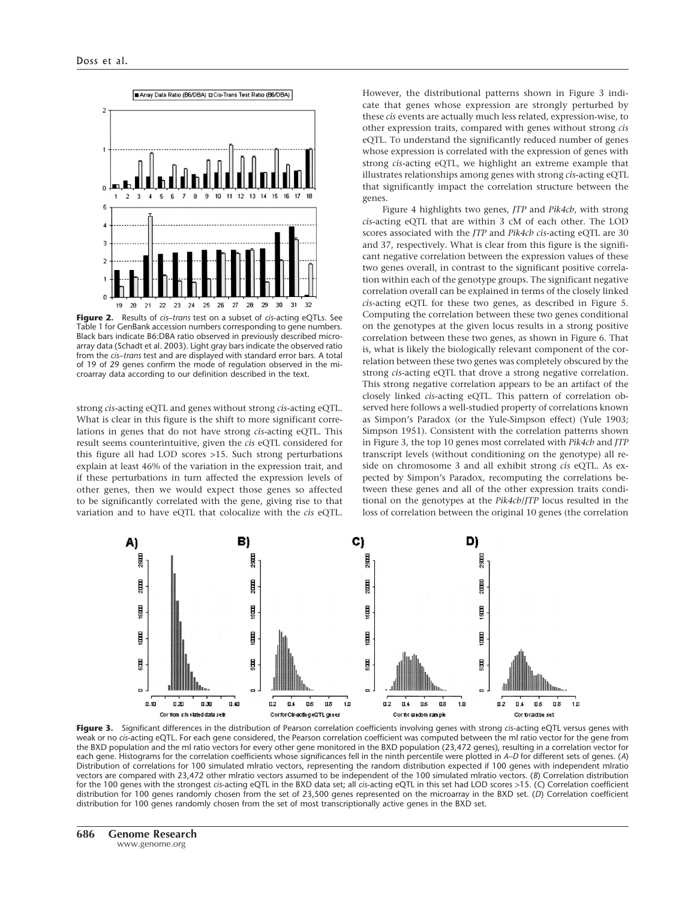

**Figure 2.** Results of *cis*–*trans* test on a subset of *cis*-acting eQTLs. See Table 1 for GenBank accession numbers corresponding to gene numbers. Black bars indicate B6:DBA ratio observed in previously described microarray data (Schadt et al. 2003). Light gray bars indicate the observed ratio from the *cis*–*trans* test and are displayed with standard error bars. A total of 19 of 29 genes confirm the mode of regulation observed in the microarray data according to our definition described in the text.

strong *cis*-acting eQTL and genes without strong *cis*-acting eQTL. What is clear in this figure is the shift to more significant correlations in genes that do not have strong *cis*-acting eQTL. This result seems counterintuitive, given the *cis* eQTL considered for this figure all had LOD scores >15. Such strong perturbations explain at least 46% of the variation in the expression trait, and if these perturbations in turn affected the expression levels of other genes, then we would expect those genes so affected to be significantly correlated with the gene, giving rise to that variation and to have eQTL that colocalize with the *cis* eQTL.

However, the distributional patterns shown in Figure 3 indicate that genes whose expression are strongly perturbed by these *cis* events are actually much less related, expression-wise, to other expression traits, compared with genes without strong *cis* eQTL. To understand the significantly reduced number of genes whose expression is correlated with the expression of genes with strong *cis*-acting eQTL, we highlight an extreme example that illustrates relationships among genes with strong *cis*-acting eQTL that significantly impact the correlation structure between the genes.

Figure 4 highlights two genes, *JTP* and *Pik4cb*, with strong *cis*-acting eQTL that are within 3 cM of each other. The LOD scores associated with the *JTP* and *Pik4cb cis*-acting eQTL are 30 and 37, respectively. What is clear from this figure is the significant negative correlation between the expression values of these two genes overall, in contrast to the significant positive correlation within each of the genotype groups. The significant negative correlation overall can be explained in terms of the closely linked *cis*-acting eQTL for these two genes, as described in Figure 5. Computing the correlation between these two genes conditional on the genotypes at the given locus results in a strong positive correlation between these two genes, as shown in Figure 6. That is, what is likely the biologically relevant component of the correlation between these two genes was completely obscured by the strong *cis*-acting eQTL that drove a strong negative correlation. This strong negative correlation appears to be an artifact of the closely linked *cis*-acting eQTL. This pattern of correlation observed here follows a well-studied property of correlations known as Simpon's Paradox (or the Yule-Simpson effect) (Yule 1903; Simpson 1951). Consistent with the correlation patterns shown in Figure 3, the top 10 genes most correlated with *Pik4cb* and *JTP* transcript levels (without conditioning on the genotype) all reside on chromosome 3 and all exhibit strong *cis* eQTL. As expected by Simpon's Paradox, recomputing the correlations between these genes and all of the other expression traits conditional on the genotypes at the *Pik4cb*/*JTP* locus resulted in the loss of correlation between the original 10 genes (the correlation



**Figure 3.** Significant differences in the distribution of Pearson correlation coefficients involving genes with strong *cis*-acting eQTL versus genes with weak or no *cis*-acting eQTL. For each gene considered, the Pearson correlation coefficient was computed between the ml ratio vector for the gene from the BXD population and the ml ratio vectors for every other gene monitored in the BXD population (23,472 genes), resulting in a correlation vector for each gene. Histograms for the correlation coefficients whose significances fell in the ninth percentile were plotted in *A–D* for different sets of genes. (*A*) Distribution of correlations for 100 simulated mlratio vectors, representing the random distribution expected if 100 genes with independent mlratio vectors are compared with 23,472 other mlratio vectors assumed to be independent of the 100 simulated mlratio vectors. (*B*) Correlation distribution for the 100 genes with the strongest *cis*-acting eQTL in the BXD data set; all *cis*-acting eQTL in this set had LOD scores >15. (*C*) Correlation coefficient distribution for 100 genes randomly chosen from the set of 23,500 genes represented on the microarray in the BXD set. (*D*) Correlation coefficient distribution for 100 genes randomly chosen from the set of most transcriptionally active genes in the BXD set.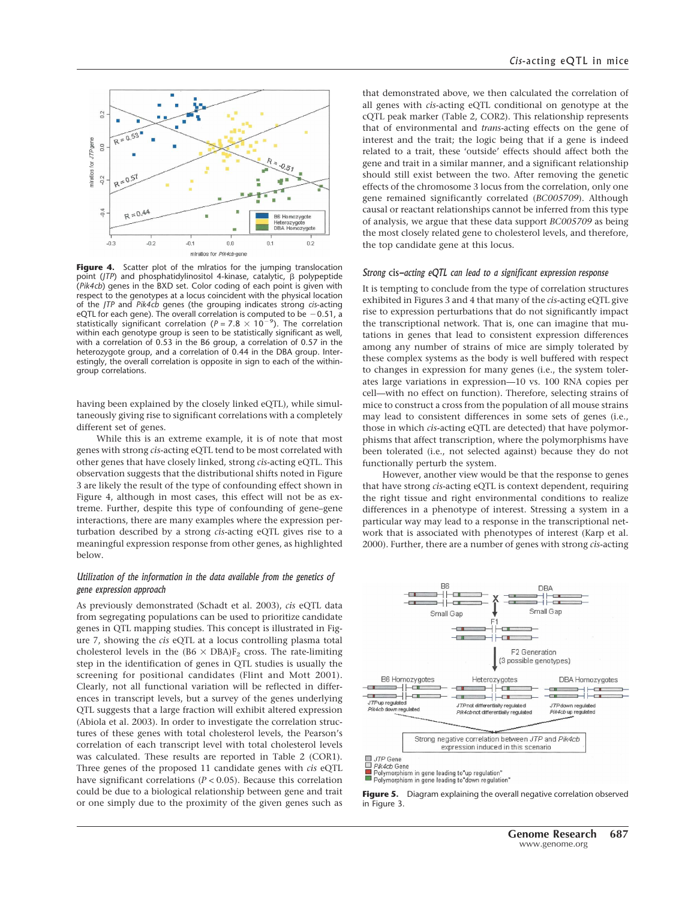

Figure 4. Scatter plot of the miratios for the jumping translocation point (*JTP*) and phosphatidylinositol 4-kinase, catalytic,  $\beta$  polypeptide (*Pik4cb*) genes in the BXD set. Color coding of each point is given with respect to the genotypes at a locus coincident with the physical location of the *JTP* and *Pik4cb* genes (the grouping indicates strong *cis*-acting <code>eQTL</code> for each gene). The overall correlation is computed to be  $\,$  – 0.51, a statistically significant correlation ( $P = 7.8 \times 10^{-9}$ ). The correlation within each genotype group is seen to be statistically significant as well, with a correlation of 0.53 in the B6 group, a correlation of 0.57 in the heterozygote group, and a correlation of 0.44 in the DBA group. Interestingly, the overall correlation is opposite in sign to each of the withingroup correlations.

having been explained by the closely linked eQTL), while simultaneously giving rise to significant correlations with a completely different set of genes.

While this is an extreme example, it is of note that most genes with strong *cis*-acting eQTL tend to be most correlated with other genes that have closely linked, strong *cis*-acting eQTL. This observation suggests that the distributional shifts noted in Figure 3 are likely the result of the type of confounding effect shown in Figure 4, although in most cases, this effect will not be as extreme. Further, despite this type of confounding of gene–gene interactions, there are many examples where the expression perturbation described by a strong *cis*-acting eQTL gives rise to a meaningful expression response from other genes, as highlighted below.

## *Utilization of the information in the data available from the genetics of gene expression approach*

As previously demonstrated (Schadt et al. 2003), *cis* eQTL data from segregating populations can be used to prioritize candidate genes in QTL mapping studies. This concept is illustrated in Figure 7, showing the *cis* eQTL at a locus controlling plasma total cholesterol levels in the  $(B6 \times DBA)F_2$  cross. The rate-limiting step in the identification of genes in QTL studies is usually the screening for positional candidates (Flint and Mott 2001). Clearly, not all functional variation will be reflected in differences in transcript levels, but a survey of the genes underlying QTL suggests that a large fraction will exhibit altered expression (Abiola et al. 2003). In order to investigate the correlation structures of these genes with total cholesterol levels, the Pearson's correlation of each transcript level with total cholesterol levels was calculated. These results are reported in Table 2 (COR1). Three genes of the proposed 11 candidate genes with *cis* eQTL have significant correlations ( $P < 0.05$ ). Because this correlation could be due to a biological relationship between gene and trait or one simply due to the proximity of the given genes such as

that demonstrated above, we then calculated the correlation of all genes with *cis*-acting eQTL conditional on genotype at the cQTL peak marker (Table 2, COR2). This relationship represents that of environmental and *trans*-acting effects on the gene of interest and the trait; the logic being that if a gene is indeed related to a trait, these 'outside' effects should affect both the gene and trait in a similar manner, and a significant relationship should still exist between the two. After removing the genetic effects of the chromosome 3 locus from the correlation, only one gene remained significantly correlated (*BC005709*). Although causal or reactant relationships cannot be inferred from this type of analysis, we argue that these data support *BC005709* as being the most closely related gene to cholesterol levels, and therefore, the top candidate gene at this locus.

#### *Strong* cis*-acting eQTL can lead to a significant expression response*

It is tempting to conclude from the type of correlation structures exhibited in Figures 3 and 4 that many of the *cis*-acting eQTL give rise to expression perturbations that do not significantly impact the transcriptional network. That is, one can imagine that mutations in genes that lead to consistent expression differences among any number of strains of mice are simply tolerated by these complex systems as the body is well buffered with respect to changes in expression for many genes (i.e., the system tolerates large variations in expression—10 vs. 100 RNA copies per cell—with no effect on function). Therefore, selecting strains of mice to construct a cross from the population of all mouse strains may lead to consistent differences in some sets of genes (i.e., those in which *cis*-acting eQTL are detected) that have polymorphisms that affect transcription, where the polymorphisms have been tolerated (i.e., not selected against) because they do not functionally perturb the system.

However, another view would be that the response to genes that have strong *cis*-acting eQTL is context dependent, requiring the right tissue and right environmental conditions to realize differences in a phenotype of interest. Stressing a system in a particular way may lead to a response in the transcriptional network that is associated with phenotypes of interest (Karp et al. 2000). Further, there are a number of genes with strong *cis*-acting



**Figure 5.** Diagram explaining the overall negative correlation observed in Figure 3.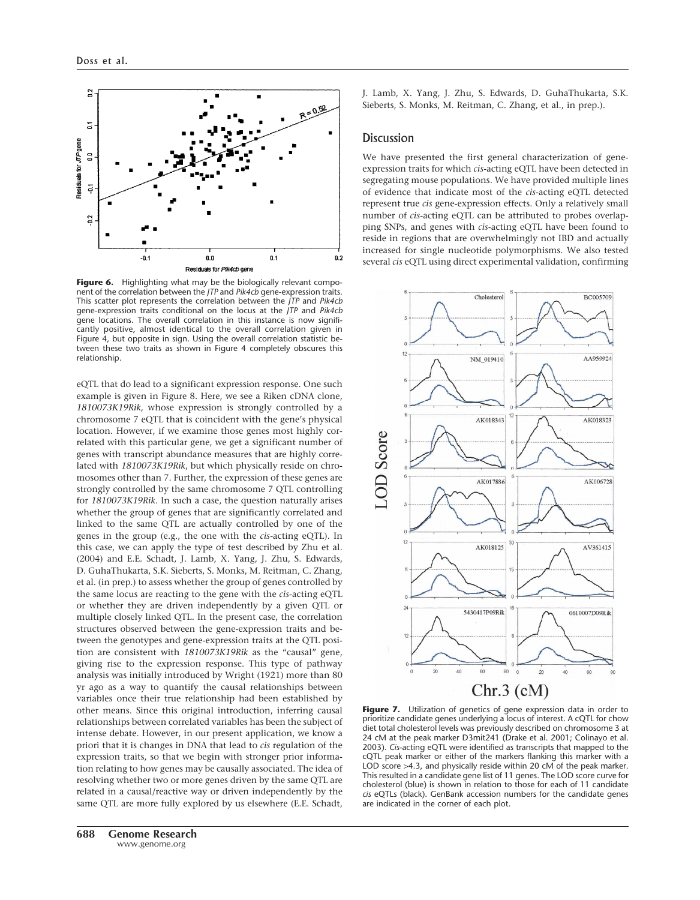

Figure 6. Highlighting what may be the biologically relevant component of the correlation between the *JTP* and *Pik4cb* gene-expression traits. This scatter plot represents the correlation between the *JTP* and *Pik4cb* gene-expression traits conditional on the locus at the *JTP* and *Pik4cb* gene locations. The overall correlation in this instance is now significantly positive, almost identical to the overall correlation given in Figure 4, but opposite in sign. Using the overall correlation statistic between these two traits as shown in Figure 4 completely obscures this relationship.

eQTL that do lead to a significant expression response. One such example is given in Figure 8. Here, we see a Riken cDNA clone, *1810073K19Rik*, whose expression is strongly controlled by a chromosome 7 eQTL that is coincident with the gene's physical location. However, if we examine those genes most highly correlated with this particular gene, we get a significant number of genes with transcript abundance measures that are highly correlated with *1810073K19Rik*, but which physically reside on chromosomes other than 7. Further, the expression of these genes are strongly controlled by the same chromosome 7 QTL controlling for *1810073K19Rik*. In such a case, the question naturally arises whether the group of genes that are significantly correlated and linked to the same QTL are actually controlled by one of the genes in the group (e.g., the one with the *cis*-acting eQTL). In this case, we can apply the type of test described by Zhu et al. (2004) and E.E. Schadt, J. Lamb, X. Yang, J. Zhu, S. Edwards, D. GuhaThukarta, S.K. Sieberts, S. Monks, M. Reitman, C. Zhang, et al. (in prep.) to assess whether the group of genes controlled by the same locus are reacting to the gene with the *cis*-acting eQTL or whether they are driven independently by a given QTL or multiple closely linked QTL. In the present case, the correlation structures observed between the gene-expression traits and between the genotypes and gene-expression traits at the QTL position are consistent with *1810073K19Rik* as the "causal" gene, giving rise to the expression response. This type of pathway analysis was initially introduced by Wright (1921) more than 80 yr ago as a way to quantify the causal relationships between variables once their true relationship had been established by other means. Since this original introduction, inferring causal relationships between correlated variables has been the subject of intense debate. However, in our present application, we know a priori that it is changes in DNA that lead to *cis* regulation of the expression traits, so that we begin with stronger prior information relating to how genes may be causally associated. The idea of resolving whether two or more genes driven by the same QTL are related in a causal/reactive way or driven independently by the same QTL are more fully explored by us elsewhere (E.E. Schadt,

J. Lamb, X. Yang, J. Zhu, S. Edwards, D. GuhaThukarta, S.K. Sieberts, S. Monks, M. Reitman, C. Zhang, et al., in prep.).

## **Discussion**

We have presented the first general characterization of geneexpression traits for which *cis*-acting eQTL have been detected in segregating mouse populations. We have provided multiple lines of evidence that indicate most of the *cis*-acting eQTL detected represent true *cis* gene-expression effects. Only a relatively small number of *cis*-acting eQTL can be attributed to probes overlapping SNPs, and genes with *cis*-acting eQTL have been found to reside in regions that are overwhelmingly not IBD and actually increased for single nucleotide polymorphisms. We also tested several *cis* eQTL using direct experimental validation, confirming



Figure 7. Utilization of genetics of gene expression data in order to prioritize candidate genes underlying a locus of interest. A cQTL for chow diet total cholesterol levels was previously described on chromosome 3 at 24 cM at the peak marker D3mit241 (Drake et al. 2001; Colinayo et al. 2003). *Cis*-acting eQTL were identified as transcripts that mapped to the cQTL peak marker or either of the markers flanking this marker with a LOD score >4.3, and physically reside within 20 cM of the peak marker. This resulted in a candidate gene list of 11 genes. The LOD score curve for cholesterol (blue) is shown in relation to those for each of 11 candidate *cis* eQTLs (black). GenBank accession numbers for the candidate genes are indicated in the corner of each plot.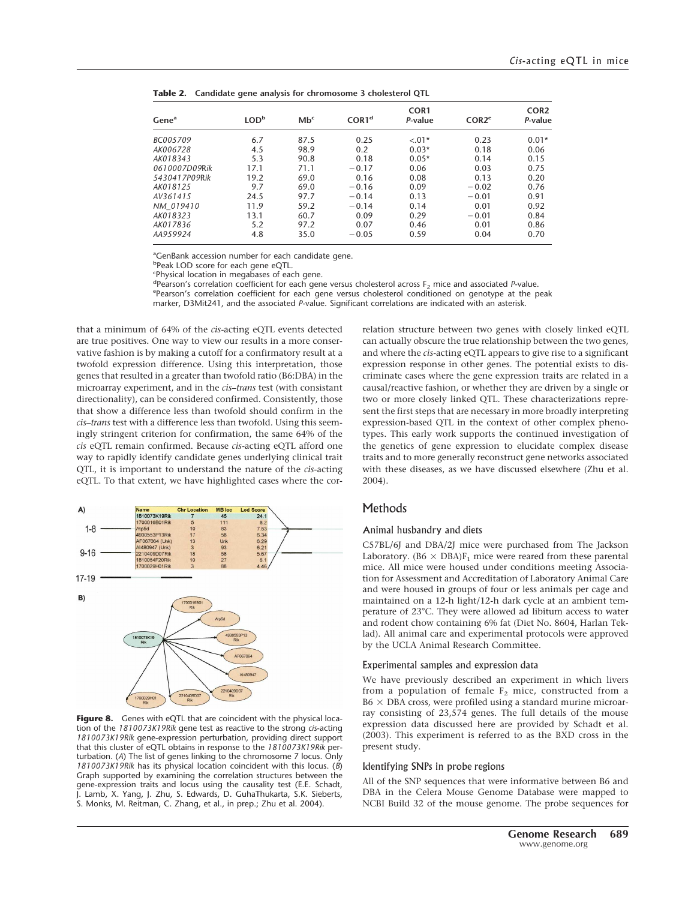| Gene <sup>a</sup> | LOD <sub>p</sub> | Mb <sup>c</sup> | COR1 <sup>d</sup> | COR <sub>1</sub><br>P-value | COR2 <sup>e</sup> | COR <sub>2</sub><br>P-value |
|-------------------|------------------|-----------------|-------------------|-----------------------------|-------------------|-----------------------------|
| BC005709          | 6.7              | 87.5            | 0.25              | $-.01*$                     | 0.23              | $0.01*$                     |
| AK006728          | 4.5              | 98.9            | 0.2               | $0.03*$                     | 0.18              | 0.06                        |
| AK018343          | 5.3              | 90.8            | 0.18              | $0.05*$                     | 0.14              | 0.15                        |
| 0610007D09Rik     | 17.1             | 71.1            | $-0.17$           | 0.06                        | 0.03              | 0.75                        |
| 5430417P09Rik     | 19.2             | 69.0            | 0.16              | 0.08                        | 0.13              | 0.20                        |
| AK018125          | 9.7              | 69.0            | $-0.16$           | 0.09                        | $-0.02$           | 0.76                        |
| AV361415          | 24.5             | 97.7            | $-0.14$           | 0.13                        | $-0.01$           | 0.91                        |
| NM 019410         | 11.9             | 59.2            | $-0.14$           | 0.14                        | 0.01              | 0.92                        |
| AK018323          | 13.1             | 60.7            | 0.09              | 0.29                        | $-0.01$           | 0.84                        |
| AK017836          | 5.2              | 97.2            | 0.07              | 0.46                        | 0.01              | 0.86                        |
| AA959924          | 4.8              | 35.0            | $-0.05$           | 0.59                        | 0.04              | 0.70                        |

**Table 2. Candidate gene analysis for chromosome 3 cholesterol QTL**

<sup>a</sup>GenBank accession number for each candidate gene.

bPeak LOD score for each gene eQTL.

c Physical location in megabases of each gene.

developers of the correlation coefficient for each gene versus cholesterol across F<sub>2</sub> mice and associated *P*-value.<br>Epearson's correlation coefficient for each gene versus cholesterol conditioned on genotyne at the n Pearson's correlation coefficient for each gene versus cholesterol conditioned on genotype at the peak

marker, D3Mit241, and the associated *P*-value. Significant correlations are indicated with an asterisk.

that a minimum of 64% of the *cis*-acting eQTL events detected are true positives. One way to view our results in a more conservative fashion is by making a cutoff for a confirmatory result at a twofold expression difference. Using this interpretation, those genes that resulted in a greater than twofold ratio (B6:DBA) in the microarray experiment, and in the *cis*–*trans* test (with consistant directionality), can be considered confirmed. Consistently, those that show a difference less than twofold should confirm in the *cis*–*trans* test with a difference less than twofold. Using this seemingly stringent criterion for confirmation, the same 64% of the *cis* eQTL remain confirmed. Because *cis*-acting eQTL afford one way to rapidly identify candidate genes underlying clinical trait QTL, it is important to understand the nature of the *cis*-acting eQTL. To that extent, we have highlighted cases where the cor-



Figure 8. Genes with eQTL that are coincident with the physical location of the *1810073K19Rik* gene test as reactive to the strong *cis*-acting *1810073K19Rik* gene-expression perturbation, providing direct support that this cluster of eQTL obtains in response to the *1810073K19Rik* perturbation. (*A*) The list of genes linking to the chromosome 7 locus. Only *1810073K19Rik* has its physical location coincident with this locus. (*B*) Graph supported by examining the correlation structures between the gene-expression traits and locus using the causality test (E.E. Schadt, J. Lamb, X. Yang, J. Zhu, S. Edwards, D. GuhaThukarta, S.K. Sieberts, S. Monks, M. Reitman, C. Zhang, et al., in prep.; Zhu et al. 2004).

relation structure between two genes with closely linked eQTL can actually obscure the true relationship between the two genes, and where the *cis*-acting eQTL appears to give rise to a significant expression response in other genes. The potential exists to discriminate cases where the gene expression traits are related in a causal/reactive fashion, or whether they are driven by a single or two or more closely linked QTL. These characterizations represent the first steps that are necessary in more broadly interpreting expression-based QTL in the context of other complex phenotypes. This early work supports the continued investigation of the genetics of gene expression to elucidate complex disease traits and to more generally reconstruct gene networks associated with these diseases, as we have discussed elsewhere (Zhu et al. 2004).

## **Methods**

#### Animal husbandry and diets

C57BL/6J and DBA/2J mice were purchased from The Jackson Laboratory. (B6  $\times$  DBA)F<sub>1</sub> mice were reared from these parental mice. All mice were housed under conditions meeting Association for Assessment and Accreditation of Laboratory Animal Care and were housed in groups of four or less animals per cage and maintained on a 12-h light/12-h dark cycle at an ambient temperature of 23°C. They were allowed ad libitum access to water and rodent chow containing 6% fat (Diet No. 8604, Harlan Teklad). All animal care and experimental protocols were approved by the UCLA Animal Research Committee.

#### Experimental samples and expression data

We have previously described an experiment in which livers from a population of female  $F_2$  mice, constructed from a  $B6 \times DBA$  cross, were profiled using a standard murine microarray consisting of 23,574 genes. The full details of the mouse expression data discussed here are provided by Schadt et al. (2003). This experiment is referred to as the BXD cross in the present study.

#### Identifying SNPs in probe regions

All of the SNP sequences that were informative between B6 and DBA in the Celera Mouse Genome Database were mapped to NCBI Build 32 of the mouse genome. The probe sequences for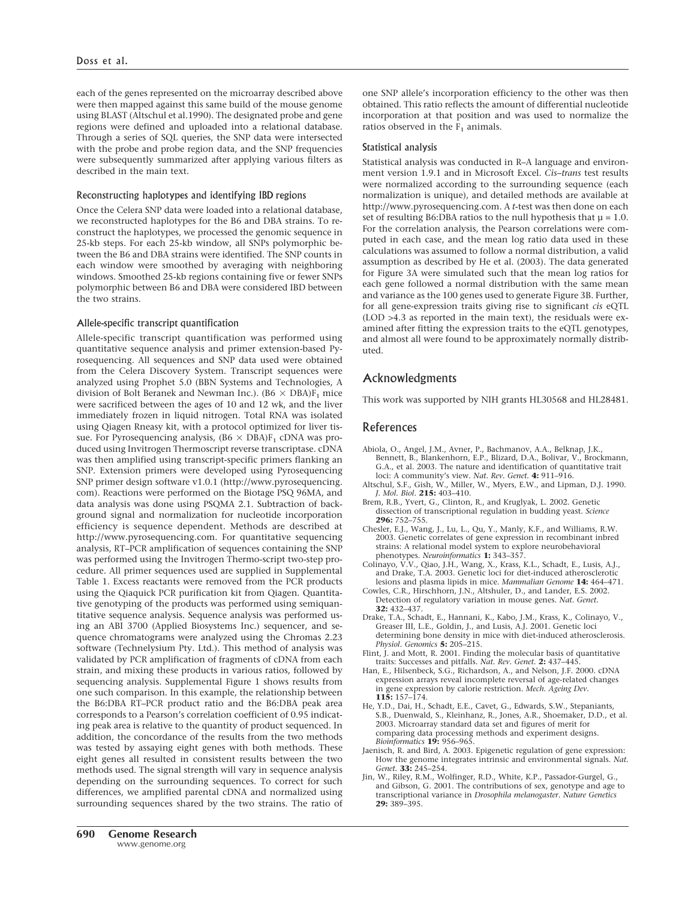each of the genes represented on the microarray described above were then mapped against this same build of the mouse genome using BLAST (Altschul et al.1990). The designated probe and gene regions were defined and uploaded into a relational database. Through a series of SQL queries, the SNP data were intersected with the probe and probe region data, and the SNP frequencies were subsequently summarized after applying various filters as described in the main text.

## Reconstructing haplotypes and identifying IBD regions

Once the Celera SNP data were loaded into a relational database, we reconstructed haplotypes for the B6 and DBA strains. To reconstruct the haplotypes, we processed the genomic sequence in 25-kb steps. For each 25-kb window, all SNPs polymorphic between the B6 and DBA strains were identified. The SNP counts in each window were smoothed by averaging with neighboring windows. Smoothed 25-kb regions containing five or fewer SNPs polymorphic between B6 and DBA were considered IBD between the two strains.

## Allele-specific transcript quantification

Allele-specific transcript quantification was performed using quantitative sequence analysis and primer extension-based Pyrosequencing. All sequences and SNP data used were obtained from the Celera Discovery System. Transcript sequences were analyzed using Prophet 5.0 (BBN Systems and Technologies, A division of Bolt Beranek and Newman Inc.). (B6  $\times$  DBA)F<sub>1</sub> mice were sacrificed between the ages of 10 and 12 wk, and the liver immediately frozen in liquid nitrogen. Total RNA was isolated using Qiagen Rneasy kit, with a protocol optimized for liver tissue. For Pyrosequencing analysis,  $(B6 \times DBA)F_1$  cDNA was produced using Invitrogen Thermoscript reverse transcriptase. cDNA was then amplified using transcript-specific primers flanking an SNP. Extension primers were developed using Pyrosequencing SNP primer design software v1.0.1 (http://www.pyrosequencing. com). Reactions were performed on the Biotage PSQ 96MA, and data analysis was done using PSQMA 2.1. Subtraction of background signal and normalization for nucleotide incorporation efficiency is sequence dependent. Methods are described at http://www.pyrosequencing.com. For quantitative sequencing analysis, RT–PCR amplification of sequences containing the SNP was performed using the Invitrogen Thermo-script two-step procedure. All primer sequences used are supplied in Supplemental Table 1. Excess reactants were removed from the PCR products using the Qiaquick PCR purification kit from Qiagen. Quantitative genotyping of the products was performed using semiquantitative sequence analysis. Sequence analysis was performed using an ABI 3700 (Applied Biosystems Inc.) sequencer, and sequence chromatograms were analyzed using the Chromas 2.23 software (Technelysium Pty. Ltd.). This method of analysis was validated by PCR amplification of fragments of cDNA from each strain, and mixing these products in various ratios, followed by sequencing analysis. Supplemental Figure 1 shows results from one such comparison. In this example, the relationship between the B6:DBA RT–PCR product ratio and the B6:DBA peak area corresponds to a Pearson's correlation coefficient of 0.95 indicating peak area is relative to the quantity of product sequenced. In addition, the concordance of the results from the two methods was tested by assaying eight genes with both methods. These eight genes all resulted in consistent results between the two methods used. The signal strength will vary in sequence analysis depending on the surrounding sequences. To correct for such differences, we amplified parental cDNA and normalized using surrounding sequences shared by the two strains. The ratio of one SNP allele's incorporation efficiency to the other was then obtained. This ratio reflects the amount of differential nucleotide incorporation at that position and was used to normalize the ratios observed in the  $F_1$  animals.

#### Statistical analysis

Statistical analysis was conducted in R–A language and environment version 1.9.1 and in Microsoft Excel. *Cis*–*trans* test results were normalized according to the surrounding sequence (each normalization is unique), and detailed methods are available at http://www.pyrosequencing.com. A *t*-test was then done on each set of resulting B6:DBA ratios to the null hypothesis that  $\mu = 1.0$ . For the correlation analysis, the Pearson correlations were computed in each case, and the mean log ratio data used in these calculations was assumed to follow a normal distribution, a valid assumption as described by He et al. (2003). The data generated for Figure 3A were simulated such that the mean log ratios for each gene followed a normal distribution with the same mean and variance as the 100 genes used to generate Figure 3B. Further, for all gene-expression traits giving rise to significant *cis* eQTL (LOD >4.3 as reported in the main text), the residuals were examined after fitting the expression traits to the eQTL genotypes, and almost all were found to be approximately normally distributed.

# Acknowledgments

This work was supported by NIH grants HL30568 and HL28481.

# References

- Abiola, O., Angel, J.M., Avner, P., Bachmanov, A.A., Belknap, J.K., Bennett, B., Blankenhorn, E.P., Blizard, D.A., Bolivar, V., Brockmann, G.A., et al. 2003. The nature and identification of quantitative trait loci: A community's view. *Nat. Rev. Genet.* **4:** 911–916.
- Altschul, S.F., Gish, W., Miller, W., Myers, E.W., and Lipman, D.J. 1990. *J. Mol. Biol.* **215:** 403–410.
- Brem, R.B., Yvert, G., Clinton, R., and Kruglyak, L. 2002. Genetic dissection of transcriptional regulation in budding yeast. *Science* **296:** 752–755.
- Chesler, E.J., Wang, J., Lu, L., Qu, Y., Manly, K.F., and Williams, R.W. 2003. Genetic correlates of gene expression in recombinant inbred strains: A relational model system to explore neurobehavioral phenotypes. *Neuroinformatics* **1:** 343–357.
- Colinayo, V.V., Qiao, J.H., Wang, X., Krass, K.L., Schadt, E., Lusis, A.J., and Drake, T.A. 2003. Genetic loci for diet-induced atherosclerotic lesions and plasma lipids in mice. *Mammalian Genome* **14:** 464–471.
- Cowles, C.R., Hirschhorn, J.N., Altshuler, D., and Lander, E.S. 2002. Detection of regulatory variation in mouse genes. *Nat. Genet.* **32:** 432–437.
- Drake, T.A., Schadt, E., Hannani, K., Kabo, J.M., Krass, K., Colinayo, V., Greaser III, L.E., Goldin, J., and Lusis, A.J. 2001. Genetic loci determining bone density in mice with diet-induced atherosclerosis. *Physiol. Genomics* **5:** 205–215.
- Flint, J. and Mott, R. 2001. Finding the molecular basis of quantitative
- traits: Successes and pitfalls. *Nat. Rev. Genet.* **2:** 437–445. Han, E., Hilsenbeck, S.G., Richardson, A., and Nelson, J.F. 2000. cDNA expression arrays reveal incomplete reversal of age-related changes in gene expression by calorie restriction. *Mech. Ageing Dev.* **115:** 157–174.
- He, Y.D., Dai, H., Schadt, E.E., Cavet, G., Edwards, S.W., Stepaniants, S.B., Duenwald, S., Kleinhanz, R., Jones, A.R., Shoemaker, D.D., et al. 2003. Microarray standard data set and figures of merit for comparing data processing methods and experiment designs. *Bioinformatics* **19:** 956–965.
- Jaenisch, R. and Bird, A. 2003. Epigenetic regulation of gene expression: How the genome integrates intrinsic and environmental signals. *Nat. Genet.* **33:** 245–254.
- Jin, W., Riley, R.M., Wolfinger, R.D., White, K.P., Passador-Gurgel, G., and Gibson, G. 2001. The contributions of sex, genotype and age to transcriptional variance in *Drosophila melanogaster*. *Nature Genetics* **29:** 389–395.